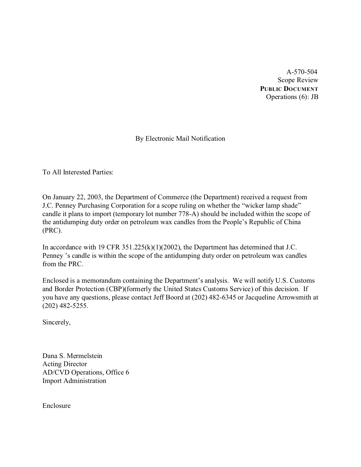A-570-504 Scope Review **PUBLIC DOCUMENT** Operations (6): JB

# By Electronic Mail Notification

To All Interested Parties:

On January 22, 2003, the Department of Commerce (the Department) received a request from J.C. Penney Purchasing Corporation for a scope ruling on whether the "wicker lamp shade" candle it plans to import (temporary lot number 778-A) should be included within the scope of the antidumping duty order on petroleum wax candles from the People's Republic of China (PRC).

In accordance with 19 CFR 351.225(k)(1)(2002), the Department has determined that J.C. Penney 's candle is within the scope of the antidumping duty order on petroleum wax candles from the PRC.

Enclosed is a memorandum containing the Department's analysis. We will notify U.S. Customs and Border Protection (CBP)(formerly the United States Customs Service) of this decision. If you have any questions, please contact Jeff Boord at (202) 482-6345 or Jacqueline Arrowsmith at (202) 482-5255.

Sincerely,

Dana S. Mermelstein Acting Director AD/CVD Operations, Office 6 Import Administration

Enclosure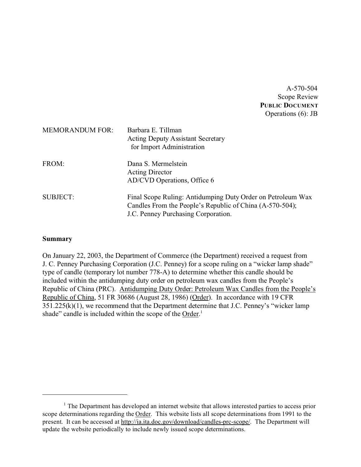A-570-504 Scope Review **PUBLIC DOCUMENT** Operations (6): JB

| <b>MEMORANDUM FOR:</b> | Barbara E. Tillman<br><b>Acting Deputy Assistant Secretary</b><br>for Import Administration                                                                    |
|------------------------|----------------------------------------------------------------------------------------------------------------------------------------------------------------|
| FROM:                  | Dana S. Mermelstein<br><b>Acting Director</b><br>AD/CVD Operations, Office 6                                                                                   |
| <b>SUBJECT:</b>        | Final Scope Ruling: Antidumping Duty Order on Petroleum Wax<br>Candles From the People's Republic of China (A-570-504);<br>J.C. Penney Purchasing Corporation. |

### **Summary**

On January 22, 2003, the Department of Commerce (the Department) received a request from J. C. Penney Purchasing Corporation (J.C. Penney) for a scope ruling on a "wicker lamp shade" type of candle (temporary lot number 778-A) to determine whether this candle should be included within the antidumping duty order on petroleum wax candles from the People's Republic of China (PRC). Antidumping Duty Order: Petroleum Wax Candles from the People's Republic of China, 51 FR 30686 (August 28, 1986) (Order). In accordance with 19 CFR 351.225(k)(1), we recommend that the Department determine that J.C. Penney's "wicker lamp shade" candle is included within the scope of the Order.<sup>1</sup>

<sup>&</sup>lt;sup>1</sup> The Department has developed an internet website that allows interested parties to access prior scope determinations regarding the Order. This website lists all scope determinations from 1991 to the present. It can be accessed at [http://ia.ita.doc.gov/download/candles-prc-scope/.](http://ia.ita.doc.gov/download/candles-prc-scope/,) The Department will update the website periodically to include newly issued scope determinations.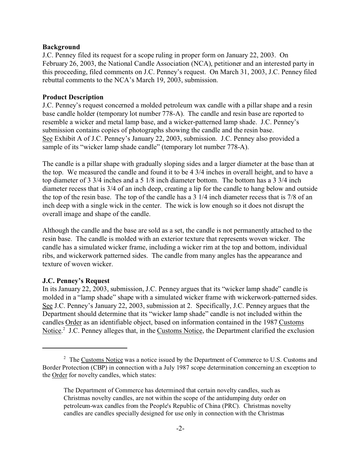#### **Background**

J.C. Penney filed its request for a scope ruling in proper form on January 22, 2003. On February 26, 2003, the National Candle Association (NCA), petitioner and an interested party in this proceeding, filed comments on J.C. Penney's request. On March 31, 2003, J.C. Penney filed rebuttal comments to the NCA's March 19, 2003, submission.

#### **Product Description**

J.C. Penney's request concerned a molded petroleum wax candle with a pillar shape and a resin base candle holder (temporary lot number 778-A). The candle and resin base are reported to resemble a wicker and metal lamp base, and a wicker-patterned lamp shade. J.C. Penney's submission contains copies of photographs showing the candle and the resin base. See Exhibit A of J.C. Penney's January 22, 2003, submission. J.C. Penney also provided a sample of its "wicker lamp shade candle" (temporary lot number 778-A).

The candle is a pillar shape with gradually sloping sides and a larger diameter at the base than at the top. We measured the candle and found it to be 4 3/4 inches in overall height, and to have a top diameter of 3 3/4 inches and a 5 1/8 inch diameter bottom. The bottom has a 3 3/4 inch diameter recess that is 3/4 of an inch deep, creating a lip for the candle to hang below and outside the top of the resin base. The top of the candle has a 3 1/4 inch diameter recess that is 7/8 of an inch deep with a single wick in the center. The wick is low enough so it does not disrupt the overall image and shape of the candle.

Although the candle and the base are sold as a set, the candle is not permanently attached to the resin base. The candle is molded with an exterior texture that represents woven wicker. The candle has a simulated wicker frame, including a wicker rim at the top and bottom, individual ribs, and wickerwork patterned sides. The candle from many angles has the appearance and texture of woven wicker.

### **J.C. Penney's Request**

In its January 22, 2003, submission, J.C. Penney argues that its "wicker lamp shade" candle is molded in a "lamp shade" shape with a simulated wicker frame with wickerwork-patterned sides. See J.C. Penney's January 22, 2003, submission at 2. Specifically, J.C. Penney argues that the Department should determine that its "wicker lamp shade" candle is not included within the candles Order as an identifiable object, based on information contained in the 1987 Customs Notice.<sup>2</sup> J.C. Penney alleges that, in the Customs Notice, the Department clarified the exclusion

<sup>&</sup>lt;sup>2</sup> The Customs Notice was a notice issued by the Department of Commerce to U.S. Customs and Border Protection (CBP) in connection with a July 1987 scope determination concerning an exception to the Order for novelty candles, which states:

The Department of Commerce has determined that certain novelty candles, such as Christmas novelty candles, are not within the scope of the antidumping duty order on petroleum-wax candles from the People's Republic of China (PRC). Christmas novelty candles are candles specially designed for use only in connection with the Christmas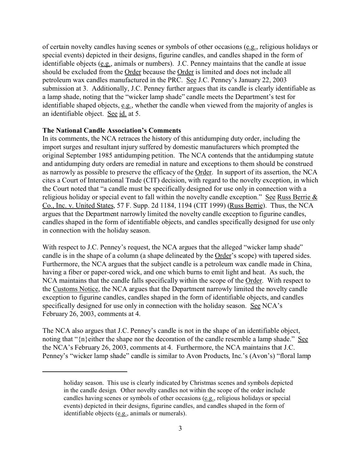of certain novelty candles having scenes or symbols of other occasions (e.g., religious holidays or special events) depicted in their designs, figurine candles, and candles shaped in the form of identifiable objects (e.g., animals or numbers). J.C. Penney maintains that the candle at issue should be excluded from the Order because the Order is limited and does not include all petroleum wax candles manufactured in the PRC. See J.C. Penney's January 22, 2003 submission at 3. Additionally, J.C. Penney further argues that its candle is clearly identifiable as a lamp shade, noting that the "wicker lamp shade" candle meets the Department's test for identifiable shaped objects, e.g., whether the candle when viewed from the majority of angles is an identifiable object. See id. at 5.

### **The National Candle Association's Comments**

In its comments, the NCA retraces the history of this antidumping duty order, including the import surges and resultant injury suffered by domestic manufacturers which prompted the original September 1985 antidumping petition. The NCA contends that the antidumping statute and antidumping duty orders are remedial in nature and exceptions to them should be construed as narrowly as possible to preserve the efficacy of the Order. In support of its assertion, the NCA cites a Court of International Trade (CIT) decision, with regard to the novelty exception, in which the Court noted that "a candle must be specifically designed for use only in connection with a religious holiday or special event to fall within the novelty candle exception." See Russ Berrie & Co., Inc. v. United States, 57 F. Supp. 2d 1184, 1194 (CIT 1999) (Russ Berrie). Thus, the NCA argues that the Department narrowly limited the novelty candle exception to figurine candles, candles shaped in the form of identifiable objects, and candles specifically designed for use only in connection with the holiday season.

With respect to J.C. Penney's request, the NCA argues that the alleged "wicker lamp shade" candle is in the shape of a column (a shape delineated by the Order's scope) with tapered sides. Furthermore, the NCA argues that the subject candle is a petroleum wax candle made in China, having a fiber or paper-cored wick, and one which burns to emit light and heat. As such, the NCA maintains that the candle falls specifically within the scope of the Order. With respect to the Customs Notice, the NCA argues that the Department narrowly limited the novelty candle exception to figurine candles, candles shaped in the form of identifiable objects, and candles specifically designed for use only in connection with the holiday season. See NCA's February 26, 2003, comments at 4.

The NCA also argues that J.C. Penney's candle is not in the shape of an identifiable object, noting that "{n}either the shape nor the decoration of the candle resemble a lamp shade." See the NCA's February 26, 2003, comments at 4. Furthermore, the NCA maintains that J.C. Penney's "wicker lamp shade" candle is similar to Avon Products, Inc.'s (Avon's) "floral lamp

holiday season. This use is clearly indicated by Christmas scenes and symbols depicted in the candle design. Other novelty candles not within the scope of the order include candles having scenes or symbols of other occasions (e.g., religious holidays or special events) depicted in their designs, figurine candles, and candles shaped in the form of identifiable objects (e.g., animals or numerals).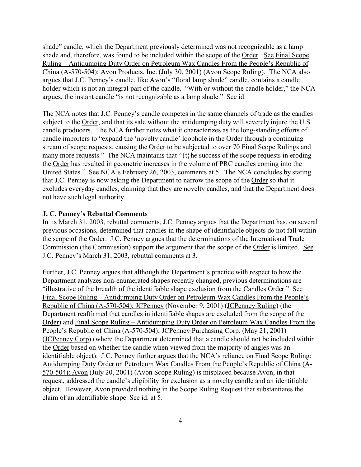shade" candle, which the Department previously determined was not recognizable as a lamp shade and, therefore, was found to be included within the scope of the Order. See Final Scope Ruling – Antidumping Duty Order on Petroleum Wax Candles From the People's Republic of China (A-570-504); Avon Products, Inc. (July 30, 2001) (Avon Scope Ruling). The NCA also argues that J.C. Penney's candle, like Avon's "floral lamp shade" candle, contains a candle holder which is not an integral part of the candle. "With or without the candle holder," the NCA argues, the instant candle "is not recognizable as a lamp shade." See id.

The NCA notes that J.C. Penney's candle competes in the same channels of trade as the candles subject to the Order, and that its sale without the antidumping duty will severely injure the U.S. candle producers. The NCA further notes what it characterizes as the long-standing efforts of candle importers to "expand the 'novelty candle' loophole in the Order through a continuing stream of scope requests, causing the Order to be subjected to over 70 Final Scope Rulings and many more requests." The NCA maintains that "{t}he success of the scope requests in eroding the Order has resulted in geometric increases in the volume of PRC candles coming into the United States." See NCA's February 26, 2003, comments at 5. The NCA concludes by stating that J.C. Penney is now asking the Department to narrow the scope of the Order so that it excludes everyday candles, claiming that they are novelty candles, and that the Department does not have such legal authority.

## **J. C. Penney's Rebuttal Comments**

In its March 31, 2003, rebuttal comments, J.C. Penney argues that the Department has, on several previous occasions, determined that candles in the shape of identifiable objects do not fall within the scope of the Order. J.C. Penney argues that the determinations of the International Trade Commission (the Commission) support the argument that the scope of the Order is limited. See J.C. Penney's March 31, 2003, rebuttal comments at 3.

Further, J.C. Penney argues that although the Department's practice with respect to how the Department analyzes non-enumerated shapes recently changed, previous determinations are "illustrative of the breadth of the identifiable shape exclusion from the Candles Order." See Final Scope Ruling – Antidumping Duty Order on Petroleum Wax Candles From the People's Republic of China (A-570-504); JCPenney (November 9, 2001) (JCPenney Ruling) (the Department reaffirmed that candles in identifiable shapes are excluded from the scope of the Order) and Final Scope Ruling – Antidumping Duty Order on Petroleum Wax Candles From the People's Republic of China (A-570-504); JCPenney Purchasing Corp. (May 21, 2001) (JCPenney Corp) (where the Department determined that a candle should not be included within the Order based on whether the candle when viewed from the majority of angles was an identifiable object). J.C. Penney further argues that the NCA's reliance on Final Scope Ruling: Antidumping Duty Order on Petroleum Wax Candles From the People's Republic of China (A-570-504): Avon (July 20, 2001) (Avon Scope Ruling) is misplaced because Avon, in that request, addressed the candle's eligibility for exclusion as a novelty candle and an identifiable object. However, Avon provided nothing in the Scope Ruling Request that substantiates the claim of an identifiable shape. See id. at 5.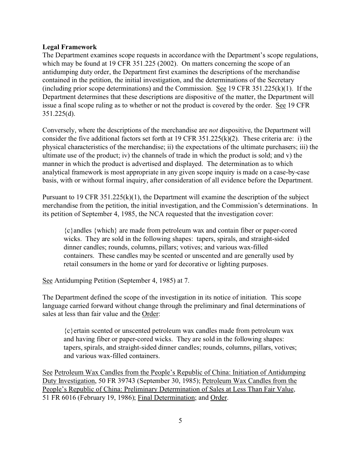### **Legal Framework**

The Department examines scope requests in accordance with the Department's scope regulations, which may be found at 19 CFR 351.225 (2002). On matters concerning the scope of an antidumping duty order, the Department first examines the descriptions of the merchandise contained in the petition, the initial investigation, and the determinations of the Secretary (including prior scope determinations) and the Commission. See 19 CFR 351.225(k)(1). If the Department determines that these descriptions are dispositive of the matter, the Department will issue a final scope ruling as to whether or not the product is covered by the order. See 19 CFR 351.225(d).

Conversely, where the descriptions of the merchandise are *not* dispositive, the Department will consider the five additional factors set forth at 19 CFR 351.225(k)(2). These criteria are: i) the physical characteristics of the merchandise; ii) the expectations of the ultimate purchasers; iii) the ultimate use of the product; iv) the channels of trade in which the product is sold; and v) the manner in which the product is advertised and displayed. The determination as to which analytical framework is most appropriate in any given scope inquiry is made on a case-by-case basis, with or without formal inquiry, after consideration of all evidence before the Department.

Pursuant to 19 CFR 351.225(k)(1), the Department will examine the description of the subject merchandise from the petition, the initial investigation, and the Commission's determinations. In its petition of September 4, 1985, the NCA requested that the investigation cover:

{c}andles {which} are made from petroleum wax and contain fiber or paper-cored wicks. They are sold in the following shapes: tapers, spirals, and straight-sided dinner candles; rounds, columns, pillars; votives; and various wax-filled containers. These candles may be scented or unscented and are generally used by retail consumers in the home or yard for decorative or lighting purposes.

See Antidumping Petition (September 4, 1985) at 7.

The Department defined the scope of the investigation in its notice of initiation. This scope language carried forward without change through the preliminary and final determinations of sales at less than fair value and the Order:

{c}ertain scented or unscented petroleum wax candles made from petroleum wax and having fiber or paper-cored wicks. They are sold in the following shapes: tapers, spirals, and straight-sided dinner candles; rounds, columns, pillars, votives; and various wax-filled containers.

See Petroleum Wax Candles from the People's Republic of China: Initiation of Antidumping Duty Investigation, 50 FR 39743 (September 30, 1985); Petroleum Wax Candles from the People's Republic of China: Preliminary Determination of Sales at Less Than Fair Value, 51 FR 6016 (February 19, 1986); Final Determination; and Order.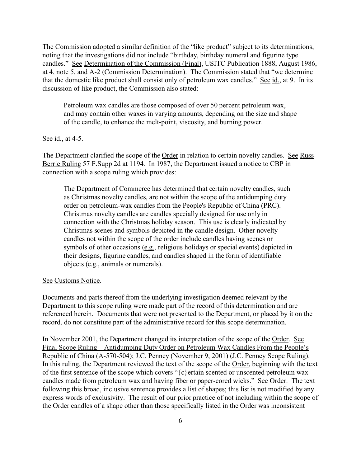The Commission adopted a similar definition of the "like product" subject to its determinations, noting that the investigations did not include "birthday, birthday numeral and figurine type candles." See Determination of the Commission (Final), USITC Publication 1888, August 1986, at 4, note 5, and A-2 (Commission Determination). The Commission stated that "we determine that the domestic like product shall consist only of petroleum wax candles." See id., at 9. In its discussion of like product, the Commission also stated:

Petroleum wax candles are those composed of over 50 percent petroleum wax, and may contain other waxes in varying amounts, depending on the size and shape of the candle, to enhance the melt-point, viscosity, and burning power.

See <u>id.</u>, at 4-5.

The Department clarified the scope of the Order in relation to certain novelty candles. See Russ Berrie Ruling 57 F.Supp 2d at 1194. In 1987, the Department issued a notice to CBP in connection with a scope ruling which provides:

The Department of Commerce has determined that certain novelty candles, such as Christmas novelty candles, are not within the scope of the antidumping duty order on petroleum-wax candles from the People's Republic of China (PRC). Christmas novelty candles are candles specially designed for use only in connection with the Christmas holiday season. This use is clearly indicated by Christmas scenes and symbols depicted in the candle design. Other novelty candles not within the scope of the order include candles having scenes or symbols of other occasions (e.g., religious holidays or special events) depicted in their designs, figurine candles, and candles shaped in the form of identifiable objects (e.g., animals or numerals).

#### See Customs Notice.

Documents and parts thereof from the underlying investigation deemed relevant by the Department to this scope ruling were made part of the record of this determination and are referenced herein. Documents that were not presented to the Department, or placed by it on the record, do not constitute part of the administrative record for this scope determination.

In November 2001, the Department changed its interpretation of the scope of the Order. See Final Scope Ruling – Antidumping Duty Order on Petroleum Wax Candles From the People's Republic of China (A-570-504); J.C. Penney (November 9, 2001) (J.C. Penney Scope Ruling). In this ruling, the Department reviewed the text of the scope of the Order, beginning with the text of the first sentence of the scope which covers "{c}ertain scented or unscented petroleum wax candles made from petroleum wax and having fiber or paper-cored wicks." See Order. The text following this broad, inclusive sentence provides a list of shapes; this list is not modified by any express words of exclusivity. The result of our prior practice of not including within the scope of the Order candles of a shape other than those specifically listed in the Order was inconsistent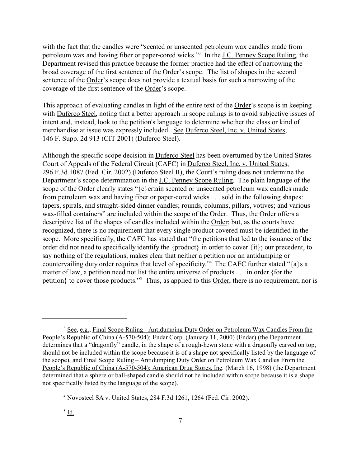with the fact that the candles were "scented or unscented petroleum wax candles made from petroleum wax and having fiber or paper-cored wicks."<sup>3</sup> In the J.C. Penney Scope Ruling, the Department revised this practice because the former practice had the effect of narrowing the broad coverage of the first sentence of the Order's scope. The list of shapes in the second sentence of the Order's scope does not provide a textual basis for such a narrowing of the coverage of the first sentence of the Order's scope.

This approach of evaluating candles in light of the entire text of the Order's scope is in keeping with Duferco Steel, noting that a better approach in scope rulings is to avoid subjective issues of intent and, instead, look to the petition's language to determine whether the class or kind of merchandise at issue was expressly included. See Duferco Steel, Inc. v. United States, 146 F. Supp. 2d 913 (CIT 2001) (Duferco Steel).

Although the specific scope decision in Duferco Steel has been overturned by the United States Court of Appeals of the Federal Circuit (CAFC) in Duferco Steel, Inc. v. United States, 296 F.3d 1087 (Fed. Cir. 2002) (Duferco Steel II), the Court's ruling does not undermine the Department's scope determination in the J.C. Penney Scope Ruling. The plain language of the scope of the Order clearly states " ${c}$ } ertain scented or unscented petroleum wax candles made from petroleum wax and having fiber or paper-cored wicks . . . sold in the following shapes: tapers, spirals, and straight-sided dinner candles; rounds, columns, pillars, votives; and various wax-filled containers" are included within the scope of the Order. Thus, the Order offers a descriptive list of the shapes of candles included within the Order; but, as the courts have recognized, there is no requirement that every single product covered must be identified in the scope. More specifically, the CAFC has stated that "the petitions that led to the issuance of the order did not need to specifically identify the {product} in order to cover {it}; our precedent, to say nothing of the regulations, makes clear that neither a petition nor an antidumping or countervailing duty order requires that level of specificity."<sup>4</sup> The CAFC further stated "{a}s a matter of law, a petition need not list the entire universe of products . . . in order {for the petition} to cover those products."<sup>5</sup> Thus, as applied to this Order, there is no requirement, nor is

<sup>&</sup>lt;sup>3</sup> See, e.g., Final Scope Ruling - Antidumping Duty Order on Petroleum Wax Candles From the People's Republic of China (A-570-504); Endar Corp. (January 11, 2000) (Endar) (the Department determines that a "dragonfly" candle, in the shape of a rough-hewn stone with a dragonfly carved on top, should not be included within the scope because it is of a shape not specifically listed by the language of the scope), and Final Scope Ruling – Antidumping Duty Order on Petroleum Wax Candles From the People's Republic of China (A-570-504); American Drug Stores, Inc. (March 16, 1998) (the Department determined that a sphere or ball-shaped candle should not be included within scope because it is a shape not specifically listed by the language of the scope).

<sup>4</sup> Novosteel SA v. United States, 284 F.3d 1261, 1264 (Fed. Cir. 2002).

<sup>5</sup> Id.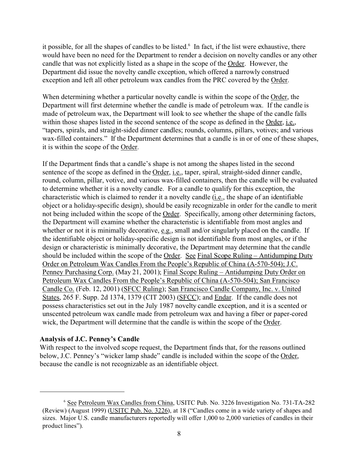it possible, for all the shapes of candles to be listed.<sup>6</sup> In fact, if the list were exhaustive, there would have been no need for the Department to render a decision on novelty candles or any other candle that was not explicitly listed as a shape in the scope of the Order. However, the Department did issue the novelty candle exception, which offered a narrowly construed exception and left all other petroleum wax candles from the PRC covered by the Order.

When determining whether a particular novelty candle is within the scope of the Order, the Department will first determine whether the candle is made of petroleum wax. If the candle is made of petroleum wax, the Department will look to see whether the shape of the candle falls within those shapes listed in the second sentence of the scope as defined in the Order, i.e., "tapers, spirals, and straight-sided dinner candles; rounds, columns, pillars, votives; and various wax-filled containers." If the Department determines that a candle is in or of one of these shapes, it is within the scope of the Order.

If the Department finds that a candle's shape is not among the shapes listed in the second sentence of the scope as defined in the Order, i.e., taper, spiral, straight-sided dinner candle, round, column, pillar, votive, and various wax-filled containers, then the candle will be evaluated to determine whether it is a novelty candle. For a candle to qualify for this exception, the characteristic which is claimed to render it a novelty candle (i.e., the shape of an identifiable object or a holiday-specific design), should be easily recognizable in order for the candle to merit not being included within the scope of the Order. Specifically, among other determining factors, the Department will examine whether the characteristic is identifiable from most angles and whether or not it is minimally decorative, e.g., small and/or singularly placed on the candle. If the identifiable object or holiday-specific design is not identifiable from most angles, or if the design or characteristic is minimally decorative, the Department may determine that the candle should be included within the scope of the Order. See Final Scope Ruling – Antidumping Duty Order on Petroleum Wax Candles From the People's Republic of China (A-570-504); J.C. Penney Purchasing Corp. (May 21, 2001); Final Scope Ruling – Antidumping Duty Order on Petroleum Wax Candles From the People's Republic of China (A-570-504); San Francisco Candle Co. (Feb. 12, 2001) (SFCC Ruling); San Francisco Candle Company, Inc. v. United States, 265 F. Supp. 2d 1374, 1379 (CIT 2003) (SFCC); and Endar. If the candle does not possess characteristics set out in the July 1987 novelty candle exception, and it is a scented or unscented petroleum wax candle made from petroleum wax and having a fiber or paper-cored wick, the Department will determine that the candle is within the scope of the Order.

## **Analysis of J.C. Penney's Candle**

With respect to the involved scope request, the Department finds that, for the reasons outlined below, J.C. Penney's "wicker lamp shade" candle is included within the scope of the Order, because the candle is not recognizable as an identifiable object.

<sup>6</sup> See Petroleum Wax Candles from China, USITC Pub. No. 3226 Investigation No. 731-TA-282 (Review) (August 1999) (USITC Pub. No. 3226), at 18 ("Candles come in a wide variety of shapes and sizes. Major U.S. candle manufacturers reportedly will offer 1,000 to 2,000 varieties of candles in their product lines").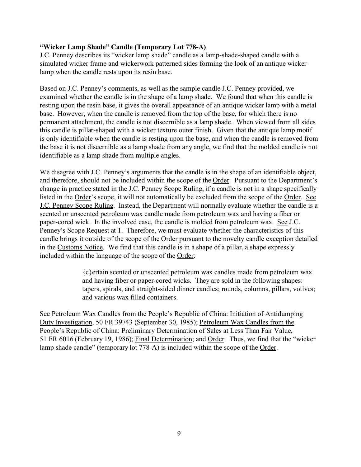# **"Wicker Lamp Shade" Candle (Temporary Lot 778-A)**

J.C. Penney describes its "wicker lamp shade" candle as a lamp-shade-shaped candle with a simulated wicker frame and wickerwork patterned sides forming the look of an antique wicker lamp when the candle rests upon its resin base.

Based on J.C. Penney's comments, as well as the sample candle J.C. Penney provided, we examined whether the candle is in the shape of a lamp shade. We found that when this candle is resting upon the resin base, it gives the overall appearance of an antique wicker lamp with a metal base. However, when the candle is removed from the top of the base, for which there is no permanent attachment, the candle is not discernible as a lamp shade. When viewed from all sides this candle is pillar-shaped with a wicker texture outer finish. Given that the antique lamp motif is only identifiable when the candle is resting upon the base, and when the candle is removed from the base it is not discernible as a lamp shade from any angle, we find that the molded candle is not identifiable as a lamp shade from multiple angles.

We disagree with J.C. Penney's arguments that the candle is in the shape of an identifiable object, and therefore, should not be included within the scope of the Order. Pursuant to the Department's change in practice stated in the J.C. Penney Scope Ruling, if a candle is not in a shape specifically listed in the Order's scope, it will not automatically be excluded from the scope of the Order. See J.C. Penney Scope Ruling. Instead, the Department will normally evaluate whether the candle is a scented or unscented petroleum wax candle made from petroleum wax and having a fiber or paper-cored wick. In the involved case, the candle is molded from petroleum wax. See J.C. Penney's Scope Request at 1. Therefore, we must evaluate whether the characteristics of this candle brings it outside of the scope of the Order pursuant to the novelty candle exception detailed in the Customs Notice. We find that this candle is in a shape of a pillar, a shape expressly included within the language of the scope of the Order:

> {c}ertain scented or unscented petroleum wax candles made from petroleum wax and having fiber or paper-cored wicks. They are sold in the following shapes: tapers, spirals, and straight-sided dinner candles; rounds, columns, pillars, votives; and various wax filled containers.

See Petroleum Wax Candles from the People's Republic of China: Initiation of Antidumping Duty Investigation, 50 FR 39743 (September 30, 1985); Petroleum Wax Candles from the People's Republic of China: Preliminary Determination of Sales at Less Than Fair Value, 51 FR 6016 (February 19, 1986); Final Determination; and Order. Thus, we find that the "wicker lamp shade candle" (temporary lot 778-A) is included within the scope of the Order.